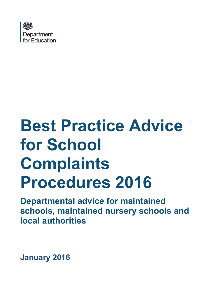

# **Best Practice Advice for School Complaints Procedures 2016**

**Departmental advice for maintained schools, maintained nursery schools and local authorities**

**January 2016**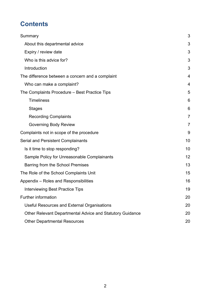# **Contents**

| Summary                                                   | 3  |
|-----------------------------------------------------------|----|
| About this departmental advice                            | 3  |
| Expiry / review date                                      | 3  |
| Who is this advice for?                                   | 3  |
| Introduction                                              | 3  |
| The difference between a concern and a complaint          | 4  |
| Who can make a complaint?                                 | 4  |
| The Complaints Procedure – Best Practice Tips             | 5  |
| <b>Timeliness</b>                                         | 6  |
| <b>Stages</b>                                             | 6  |
| <b>Recording Complaints</b>                               | 7  |
| <b>Governing Body Review</b>                              | 7  |
| Complaints not in scope of the procedure                  | 9  |
| <b>Serial and Persistent Complainants</b>                 | 10 |
| Is it time to stop responding?                            | 10 |
| Sample Policy for Unreasonable Complainants               | 12 |
| Barring from the School Premises                          | 13 |
| The Role of the School Complaints Unit                    | 15 |
| Appendix - Roles and Responsibilities                     | 16 |
| <b>Interviewing Best Practice Tips</b>                    | 19 |
| Further information                                       | 20 |
| Useful Resources and External Organisations               | 20 |
| Other Relevant Departmental Advice and Statutory Guidance | 20 |
| <b>Other Departmental Resources</b>                       | 20 |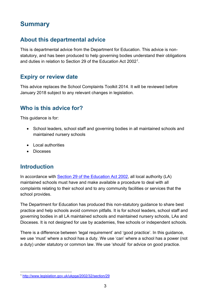# <span id="page-2-0"></span>**Summary**

# <span id="page-2-1"></span>**About this departmental advice**

This is departmental advice from the Department for Education. This advice is nonstatutory, and has been produced to help governing bodies understand their obligations and duties in relation to Section 29 of the Education Act 2002[1.](#page-2-5)

## <span id="page-2-2"></span>**Expiry or review date**

This advice replaces the School Complaints Toolkit 2014. It will be reviewed before January 2018 subject to any relevant changes in legislation.

## <span id="page-2-3"></span>**Who is this advice for?**

This guidance is for:

- School leaders, school staff and governing bodies in all maintained schools and maintained nursery schools
- Local authorities
- Dioceses

## <span id="page-2-4"></span>**Introduction**

In accordance with [Section 29 of the Education Act 2002,](http://www.legislation.gov.uk/ukpga/2002/32/section/29) all local authority (LA) maintained schools must have and make available a procedure to deal with all complaints relating to their school and to any community facilities or services that the school provides.

The Department for Education has produced this non-statutory guidance to share best practice and help schools avoid common pitfalls. It is for school leaders, school staff and governing bodies in all LA maintained schools and maintained nursery schools, LAs and Dioceses. It is not designed for use by academies, free schools or independent schools.

There is a difference between 'legal requirement' and 'good practice'. In this guidance, we use 'must' where a school has a duty. We use 'can' where a school has a power (not a duty) under statutory or common law. We use 'should' for advice on good practice.

<span id="page-2-5"></span><sup>1</sup> <http://www.legislation.gov.uk/ukpga/2002/32/section/29>  $\overline{a}$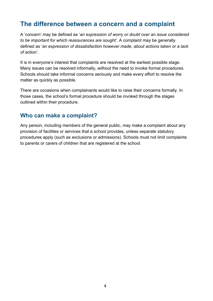# <span id="page-3-0"></span>**The difference between a concern and a complaint**

A 'concern' may be defined as '*an expression of worry or doubt over an issue considered to be important for which reassurances are sought'*. A complaint may be generally defined as '*an expression of dissatisfaction however made, about actions taken or a lack of action*'.

It is in everyone's interest that complaints are resolved at the earliest possible stage. Many issues can be resolved informally, without the need to invoke formal procedures. Schools should take informal concerns seriously and make every effort to resolve the matter as quickly as possible.

There are occasions when complainants would like to raise their concerns formally. In those cases, the school's formal procedure should be invoked through the stages outlined within their procedure.

### <span id="page-3-1"></span>**Who can make a complaint?**

Any person, including members of the general public, may make a complaint about any provision of facilities or services that a school provides, unless separate statutory procedures apply (such as exclusions or admissions). Schools must not limit complaints to parents or carers of children that are registered at the school.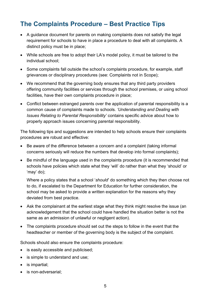# <span id="page-4-0"></span>**The Complaints Procedure – Best Practice Tips**

- A guidance document for parents on making complaints does not satisfy the legal requirement for schools to have in place a procedure to deal with all complaints. A distinct policy must be in place;
- While schools are free to adopt their LA's model policy, it must be tailored to the individual school;
- Some complaints fall outside the school's complaints procedure, for example, staff grievances or disciplinary procedures (see: Complaints not in Scope);
- We recommend that the governing body ensures that any third party providers offering community facilities or services through the school premises, or using school facilities, have their own complaints procedure in place;
- Conflict between estranged parents over the application of parental responsibility is a common cause of complaints made to schools. *'Understanding and Dealing with Issues Relating to Parental Responsibility'* contains specific advice about how to properly approach issues concerning parental responsibility.

The following tips and suggestions are intended to help schools ensure their complaints procedures are robust and effective:

- Be aware of the difference between a concern and a complaint (taking informal concerns seriously will reduce the numbers that develop into formal complaints);
- Be mindful of the language used in the complaints procedure (it is recommended that schools have policies which state what they 'will' do rather than what they 'should' or 'may' do);

Where a policy states that a school '*should*' do something which they then choose not to do, if escalated to the Department for Education for further consideration, the school may be asked to provide a written explanation for the reasons why they deviated from best practice.

- Ask the complainant at the earliest stage what they think might resolve the issue (an acknowledgement that the school could have handled the situation better is not the same as an admission of unlawful or negligent action).
- The complaints procedure should set out the steps to follow in the event that the headteacher or member of the governing body is the subject of the complaint.

Schools should also ensure the complaints procedure:

- is easily accessible and publicised;
- is simple to understand and use;
- is impartial;
- is non-adversarial: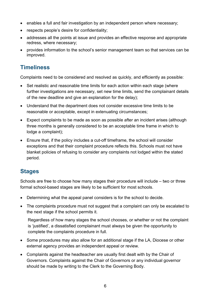- enables a full and fair investigation by an independent person where necessary;
- respects people's desire for confidentiality;
- addresses all the points at issue and provides an effective response and appropriate redress, where necessary;
- provides information to the school's senior management team so that services can be improved.

# <span id="page-5-0"></span>**Timeliness**

Complaints need to be considered and resolved as quickly, and efficiently as possible:

- Set realistic and reasonable time limits for each action within each stage (where further investigations are necessary, set new time limits, send the complainant details of the new deadline and give an explanation for the delay);
- Understand that the department does not consider excessive time limits to be reasonable or acceptable, except in extenuating circumstances;
- Expect complaints to be made as soon as possible after an incident arises (although three months is generally considered to be an acceptable time frame in which to lodge a complaint);
- Ensure that, if the policy includes a cut-off timeframe, the school will consider exceptions and that their complaint procedure reflects this. Schools must not have blanket policies of refusing to consider any complaints not lodged within the stated period.

# <span id="page-5-1"></span>**Stages**

Schools are free to choose how many stages their procedure will include – two or three formal school-based stages are likely to be sufficient for most schools.

- Determining what the appeal panel considers is for the school to decide.
- The complaints procedure must not suggest that a complaint can only be escalated to the next stage if the school permits it.

Regardless of how many stages the school chooses, or whether or not the complaint is 'justified', a dissatisfied complainant must always be given the opportunity to complete the complaints procedure in full.

- Some procedures may also allow for an additional stage if the LA, Diocese or other external agency provides an independent appeal or review.
- Complaints against the headteacher are usually first dealt with by the Chair of Governors. Complaints against the Chair of Governors or any individual governor should be made by writing to the Clerk to the Governing Body.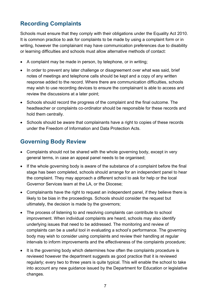# <span id="page-6-0"></span>**Recording Complaints**

Schools must ensure that they comply with their obligations under the Equality Act 2010. It is common practice to ask for complaints to be made by using a complaint form or in writing, however the complainant may have communication preferences due to disability or learning difficulties and schools must allow alternative methods of contact:

- A complaint may be made in person, by telephone, or in writing;
- In order to prevent any later challenge or disagreement over what was said, brief notes of meetings and telephone calls should be kept and a copy of any written response added to the record. Where there are communication difficulties, schools may wish to use recording devices to ensure the complainant is able to access and review the discussions at a later point;
- Schools should record the progress of the complaint and the final outcome. The headteacher or complaints co-ordinator should be responsible for these records and hold them centrally.
- Schools should be aware that complainants have a right to copies of these records under the Freedom of Information and Data Protection Acts.

# <span id="page-6-1"></span>**Governing Body Review**

- Complaints should not be shared with the whole governing body, except in very general terms, in case an appeal panel needs to be organised;
- If the whole governing body is aware of the substance of a complaint before the final stage has been completed, schools should arrange for an independent panel to hear the complaint. They may approach a different school to ask for help or the local Governor Services team at the LA, or the Diocese;
- Complainants have the right to request an independent panel, if they believe there is likely to be bias in the proceedings. Schools should consider the request but ultimately, the decision is made by the governors;
- The process of listening to and resolving complaints can contribute to school improvement. When individual complaints are heard, schools may also identify underlying issues that need to be addressed. The monitoring and review of complaints can be a useful tool in evaluating a school's performance. The governing body may wish to consider using complaints and review their handling at regular intervals to inform improvements and the effectiveness of the complaints procedure;
- It is the governing body which determines how often the complaints procedure is reviewed however the department suggests as good practice that it is reviewed regularly; every two to three years is quite typical. This will enable the school to take into account any new guidance issued by the Department for Education or legislative changes.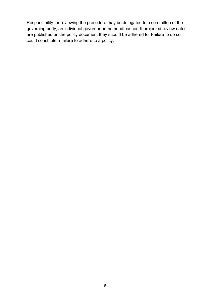Responsibility for reviewing the procedure may be delegated to a committee of the governing body, an individual governor or the headteacher. If projected review dates are published on the policy document they should be adhered to. Failure to do so could constitute a failure to adhere to a policy.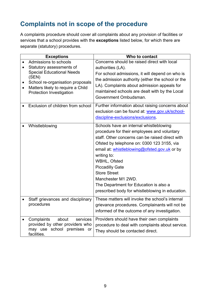# <span id="page-8-0"></span>**Complaints not in scope of the procedure**

A complaints procedure should cover all complaints about any provision of facilities or services that a school provides with the **exceptions** listed below, for which there are separate (statutory) procedures.

| <b>Exceptions</b>                                          | Who to contact                                    |
|------------------------------------------------------------|---------------------------------------------------|
| Admissions to schools                                      | Concerns should be raised direct with local       |
| Statutory assessments of                                   | authorities (LA).                                 |
| <b>Special Educational Needs</b>                           | For school admissions, it will depend on who is   |
| (SEN)<br>School re-organisation proposals                  | the admission authority (either the school or the |
| Matters likely to require a Child                          | LA). Complaints about admission appeals for       |
| <b>Protection Investigation</b>                            | maintained schools are dealt with by the Local    |
|                                                            | Government Ombudsman.                             |
| Exclusion of children from school                          | Further information about raising concerns about  |
|                                                            | exclusion can be found at: www.gov.uk/school-     |
|                                                            | discipline-exclusions/exclusions                  |
| Whistleblowing                                             | Schools have an internal whistleblowing           |
|                                                            | procedure for their employees and voluntary       |
|                                                            | staff. Other concerns can be raised direct with   |
|                                                            | Ofsted by telephone on: 0300 123 3155, via        |
|                                                            | email at: whistleblowing@ofsted.gov.uk or by      |
|                                                            | writing to:                                       |
|                                                            | WBHL, Ofsted                                      |
|                                                            | <b>Piccadilly Gate</b>                            |
|                                                            | <b>Store Street</b>                               |
|                                                            | Manchester M1 2WD.                                |
|                                                            | The Department for Education is also a            |
|                                                            | prescribed body for whistleblowing in education.  |
| Staff grievances and disciplinary                          | These matters will invoke the school's internal   |
| procedures                                                 | grievance procedures. Complainants will not be    |
|                                                            | informed of the outcome of any investigation.     |
|                                                            |                                                   |
| about<br>Complaints<br>services                            | Providers should have their own complaints        |
| provided by other providers who<br>may use school premises | procedure to deal with complaints about service.  |
| or -<br>facilities.                                        | They should be contacted direct.                  |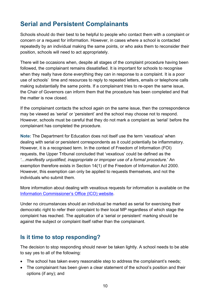# <span id="page-9-0"></span>**Serial and Persistent Complainants**

Schools should do their best to be helpful to people who contact them with a complaint or concern or a request for information. However, in cases where a school is contacted repeatedly by an individual making the same points, or who asks them to reconsider their position, schools will need to act appropriately.

There will be occasions when, despite all stages of the complaint procedure having been followed, the complainant remains dissatisfied. It is important for schools to recognise when they really have done everything they can in response to a complaint. It is a poor use of schools' time and resources to reply to repeated letters, emails or telephone calls making substantially the same points. If a complainant tries to re-open the same issue, the Chair of Governors can inform them that the procedure has been completed and that the matter is now closed.

If the complainant contacts the school again on the same issue, then the correspondence may be viewed as 'serial' or 'persistent' and the school may choose not to respond. However, schools must be careful that they do not mark a complaint as 'serial' before the complainant has completed the procedure.

**Note:** The Department for Education does not itself use the term 'vexatious' when dealing with serial or persistent correspondents as it could potentially be inflammatory. However, it is a recognised term. In the context of Freedom of Information (FOI) requests, the Upper Tribunal concluded that 'vexatious' could be defined as the *'…manifestly unjustified, inappropriate or improper use of a formal procedure.*' An exemption therefore exists in Section 14(1) of the Freedom of Information Act 2000. However, this exemption can only be applied to requests themselves, and not the individuals who submit them.

More information about dealing with vexatious requests for information is available on the [Information Commissioner's Office \(ICO\) website.](https://ico.org.uk/media/1198/dealing-with-vexatious-requests.pdf)

Under no circumstances should an individual be marked as serial for exercising their democratic right to refer their complaint to their local MP regardless of which stage the complaint has reached. The application of a 'serial or persistent' marking should be against the subject or complaint itself rather than the complainant.

## <span id="page-9-1"></span>**Is it time to stop responding?**

The decision to stop responding should never be taken lightly. A school needs to be able to say yes to all of the following:

- The school has taken every reasonable step to address the complainant's needs;
- The complainant has been given a clear statement of the school's position and their options (if any); and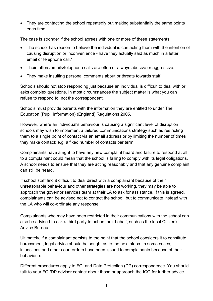• They are contacting the school repeatedly but making substantially the same points each time.

The case is stronger if the school agrees with one or more of these statements:

- The school has reason to believe the individual is contacting them with the intention of causing disruption or inconvenience - have they actually said as much in a letter, email or telephone call?
- Their letters/emails/telephone calls are often or always abusive or aggressive.
- They make insulting personal comments about or threats towards staff.

Schools should not stop responding just because an individual is difficult to deal with or asks complex questions. In most circumstances the subject matter is what you can refuse to respond to, not the correspondent.

Schools must provide parents with the information they are entitled to under The Education (Pupil Information) (England) Regulations 2005.

However, where an individual's behaviour is causing a significant level of disruption schools may wish to implement a tailored communications strategy such as restricting them to a single point of contact via an email address or by limiting the number of times they make contact; e.g. a fixed number of contacts per term.

Complainants have a right to have any new complaint heard and failure to respond at all to a complainant could mean that the school is failing to comply with its legal obligations. A school needs to ensure that they are acting reasonably and that any genuine complaint can still be heard.

If school staff find it difficult to deal direct with a complainant because of their unreasonable behaviour and other strategies are not working, they may be able to approach the governor services team at their LA to ask for assistance. If this is agreed, complainants can be advised not to contact the school, but to communicate instead with the LA who will co-ordinate any response.

Complainants who may have been restricted in their communications with the school can also be advised to ask a third party to act on their behalf, such as the local Citizen's Advice Bureau.

Ultimately, if a complainant persists to the point that the school considers it to constitute harassment, legal advice should be sought as to the next steps. In some cases, injunctions and other court orders have been issued to complainants because of their behaviours.

Different procedures apply to FOI and Data Protection (DP) correspondence. You should talk to your FOI/DP advisor contact about those or approach the ICO for further advice.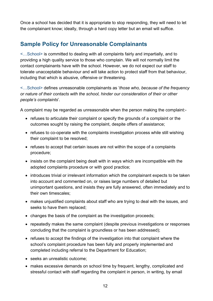Once a school has decided that it is appropriate to stop responding, they will need to let the complainant know; ideally, through a hard copy letter but an email will suffice.

# <span id="page-11-0"></span>**Sample Policy for Unreasonable Complainants**

<…School> is committed to dealing with all complaints fairly and impartially, and to providing a high quality service to those who complain. We will not normally limit the contact complainants have with the school. However, we do not expect our staff to tolerate unacceptable behaviour and will take action to protect staff from that behaviour, including that which is abusive, offensive or threatening.

<…School> defines unreasonable complainants as '*those who, because of the frequency or nature of their contacts with the school, hinder our consideration of their or other people's complaints*'.

A complaint may be regarded as unreasonable when the person making the complaint:-

- refuses to articulate their complaint or specify the grounds of a complaint or the outcomes sought by raising the complaint, despite offers of assistance;
- refuses to co-operate with the complaints investigation process while still wishing their complaint to be resolved;
- refuses to accept that certain issues are not within the scope of a complaints procedure;
- insists on the complaint being dealt with in ways which are incompatible with the adopted complaints procedure or with good practice;
- introduces trivial or irrelevant information which the complainant expects to be taken into account and commented on, or raises large numbers of detailed but unimportant questions, and insists they are fully answered, often immediately and to their own timescales;
- makes uniustified complaints about staff who are trying to deal with the issues, and seeks to have them replaced;
- changes the basis of the complaint as the investigation proceeds;
- repeatedly makes the same complaint (despite previous investigations or responses concluding that the complaint is groundless or has been addressed);
- refuses to accept the findings of the investigation into that complaint where the school's complaint procedure has been fully and properly implemented and completed including referral to the Department for Education;
- seeks an unrealistic outcome;
- makes excessive demands on school time by frequent, lengthy, complicated and stressful contact with staff regarding the complaint in person, in writing, by email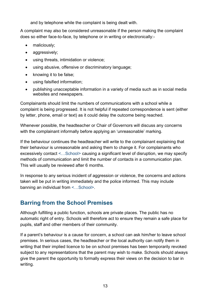and by telephone while the complaint is being dealt with.

A complaint may also be considered unreasonable if the person making the complaint does so either face-to-face, by telephone or in writing or electronically:-

- maliciously;
- aggressively;
- using threats, intimidation or violence;
- using abusive, offensive or discriminatory language;
- knowing it to be false;
- using falsified information;
- publishing unacceptable information in a variety of media such as in social media websites and newspapers.

Complainants should limit the numbers of communications with a school while a complaint is being progressed. It is not helpful if repeated correspondence is sent (either by letter, phone, email or text) as it could delay the outcome being reached.

Whenever possible, the headteacher or Chair of Governors will discuss any concerns with the complainant informally before applying an 'unreasonable' marking.

If the behaviour continues the headteacher will write to the complainant explaining that their behaviour is unreasonable and asking them to change it. For complainants who excessively contact <…School> causing a significant level of disruption, we may specify methods of communication and limit the number of contacts in a communication plan. This will usually be reviewed after 6 months.

In response to any serious incident of aggression or violence, the concerns and actions taken will be put in writing immediately and the police informed. This may include banning an individual from <…School>.

# <span id="page-12-0"></span>**Barring from the School Premises**

Although fulfilling a public function, schools are private places. The public has no automatic right of entry. Schools will therefore act to ensure they remain a safe place for pupils, staff and other members of their community.

If a parent's behaviour is a cause for concern, a school can ask him/her to leave school premises. In serious cases, the headteacher or the local authority can notify them in writing that their implied licence to be on school premises has been temporarily revoked subject to any representations that the parent may wish to make. Schools should always give the parent the opportunity to formally express their views on the decision to bar in writing.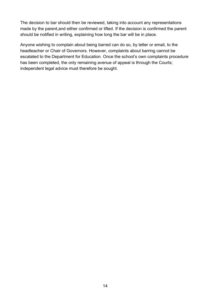The decision to bar should then be reviewed, taking into account any representations made by the parent,and either confirmed or lifted. If the decision is confirmed the parent should be notified in writing, explaining how long the bar will be in place.

Anyone wishing to complain about being barred can do so, by letter or email, to the headteacher or Chair of Governors. However, complaints about barring cannot be escalated to the Department for Education. Once the school's own complaints procedure has been completed, the only remaining avenue of appeal is through the Courts; independent legal advice must therefore be sought.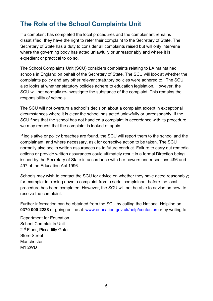# <span id="page-14-0"></span>**The Role of the School Complaints Unit**

If a complaint has completed the local procedures and the complainant remains dissatisfied, they have the right to refer their complaint to the Secretary of State. The Secretary of State has a duty to consider all complaints raised but will only intervene where the governing body has acted unlawfully or unreasonably and where it is expedient or practical to do so.

The School Complaints Unit (SCU) considers complaints relating to LA maintained schools in England on behalf of the Secretary of State. The SCU will look at whether the complaints policy and any other relevant statutory policies were adhered to. The SCU also looks at whether statutory policies adhere to education legislation. However, the SCU will not normally re-investigate the substance of the complaint. This remains the responsibility of schools.

The SCU will not overturn a school's decision about a complaint except in exceptional circumstances where it is clear the school has acted unlawfully or unreasonably. If the SCU finds that the school has not handled a complaint in accordance with its procedure, we may request that the complaint is looked at again.

If legislative or policy breaches are found, the SCU will report them to the school and the complainant, and where necessary, ask for corrective action to be taken. The SCU normally also seeks written assurances as to future conduct. Failure to carry out remedial actions or provide written assurances could ultimately result in a formal Direction being issued by the Secretary of State in accordance with her powers under sections 496 and 497 of the Education Act 1996.

Schools may wish to contact the SCU for advice on whether they have acted reasonably; for example: in closing down a complaint from a serial complainant before the local procedure has been completed. However, the SCU will not be able to advise on how to resolve the complaint.

Further information can be obtained from the SCU by calling the National Helpline on **0370 000 2288** or going online at: [www.education.gov.uk/help/contactus](http://www.education.gov.uk/help/contactus) or by writing to:

Department for Education School Complaints Unit 2<sup>nd</sup> Floor, Piccadilly Gate Store Street Manchester M1 2WD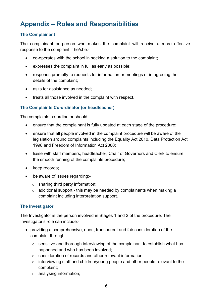# <span id="page-15-0"></span>**Appendix – Roles and Responsibilities**

#### **The Complainant**

The complainant or person who makes the complaint will receive a more effective response to the complaint if he/she:-

- co-operates with the school in seeking a solution to the complaint;
- expresses the complaint in full as early as possible;
- responds promptly to requests for information or meetings or in agreeing the details of the complaint;
- asks for assistance as needed:
- treats all those involved in the complaint with respect.

#### **The Complaints Co-ordinator (or headteacher)**

The complaints co-ordinator should:-

- ensure that the complainant is fully updated at each stage of the procedure;
- ensure that all people involved in the complaint procedure will be aware of the legislation around complaints including the Equality Act 2010, Data Protection Act 1998 and Freedom of Information Act 2000;
- liaise with staff members, headteacher, Chair of Governors and Clerk to ensure the smooth running of the complaints procedure;
- keep records;
- be aware of issues regarding:-
	- $\circ$  sharing third party information;
	- $\circ$  additional support this may be needed by complainants when making a complaint including interpretation support.

#### **The Investigator**

The Investigator is the person involved in Stages 1 and 2 of the procedure. The Investigator's role can include:-

- providing a comprehensive, open, transparent and fair consideration of the complaint through:
	- o sensitive and thorough interviewing of the complainant to establish what has happened and who has been involved;
	- o consideration of records and other relevant information;
	- o interviewing staff and children/young people and other people relevant to the complaint;
	- o analysing information;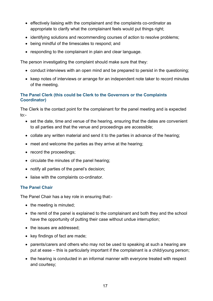- effectively liaising with the complainant and the complaints co-ordinator as appropriate to clarify what the complainant feels would put things right;
- identifying solutions and recommending courses of action to resolve problems;
- being mindful of the timescales to respond; and
- responding to the complainant in plain and clear language.

The person investigating the complaint should make sure that they:

- conduct interviews with an open mind and be prepared to persist in the questioning;
- keep notes of interviews or arrange for an independent note taker to record minutes of the meeting.

#### **The Panel Clerk (this could be Clerk to the Governors or the Complaints Coordinator)**

The Clerk is the contact point for the complainant for the panel meeting and is expected to:-

- set the date, time and venue of the hearing, ensuring that the dates are convenient to all parties and that the venue and proceedings are accessible;
- collate any written material and send it to the parties in advance of the hearing;
- meet and welcome the parties as they arrive at the hearing;
- record the proceedings;
- circulate the minutes of the panel hearing;
- notify all parties of the panel's decision;
- liaise with the complaints co-ordinator.

#### **The Panel Chair**

The Panel Chair has a key role in ensuring that:-

- the meeting is minuted;
- the remit of the panel is explained to the complainant and both they and the school have the opportunity of putting their case without undue interruption;
- the issues are addressed:
- key findings of fact are made;
- parents/carers and others who may not be used to speaking at such a hearing are put at ease – this is particularly important if the complainant is a child/young person;
- the hearing is conducted in an informal manner with everyone treated with respect and courtesy;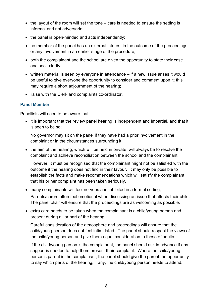- the layout of the room will set the tone care is needed to ensure the setting is informal and not adversarial;
- the panel is open-minded and acts independently;
- no member of the panel has an external interest in the outcome of the proceedings or any involvement in an earlier stage of the procedure;
- both the complainant and the school are given the opportunity to state their case and seek clarity;
- written material is seen by everyone in attendance if a new issue arises it would be useful to give everyone the opportunity to consider and comment upon it; this may require a short adjournment of the hearing;
- liaise with the Clerk and complaints co-ordinator.

#### **Panel Member**

Panellists will need to be aware that:-

• it is important that the review panel hearing is independent and impartial, and that it is seen to be so;

No governor may sit on the panel if they have had a prior involvement in the complaint or in the circumstances surrounding it.

• the aim of the hearing, which will be held in private, will always be to resolve the complaint and achieve reconciliation between the school and the complainant;

However, it must be recognised that the complainant might not be satisfied with the outcome if the hearing does not find in their favour. It may only be possible to establish the facts and make recommendations which will satisfy the complainant that his or her complaint has been taken seriously.

- many complainants will feel nervous and inhibited in a formal setting; Parents/carers often feel emotional when discussing an issue that affects their child. The panel chair will ensure that the proceedings are as welcoming as possible.
- extra care needs to be taken when the complainant is a child/young person and present during all or part of the hearing;

Careful consideration of the atmosphere and proceedings will ensure that the child/young person does not feel intimidated. The panel should respect the views of the child/young person and give them equal consideration to those of adults.

If the child/young person is the complainant, the panel should ask in advance if any support is needed to help them present their complaint. Where the child/young person's parent is the complainant, the panel should give the parent the opportunity to say which parts of the hearing, if any, the child/young person needs to attend.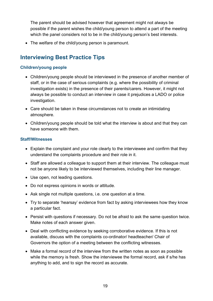The parent should be advised however that agreement might not always be possible if the parent wishes the child/young person to attend a part of the meeting which the panel considers not to be in the child/young person's best interests.

• The welfare of the child/young person is paramount.

## <span id="page-18-0"></span>**Interviewing Best Practice Tips**

#### **Children/young people**

- Children/young people should be interviewed in the presence of another member of staff, or in the case of serious complaints (e.g. where the possibility of criminal investigation exists) in the presence of their parents/carers. However, it might not always be possible to conduct an interview in case it prejudices a LADO or police investigation.
- Care should be taken in these circumstances not to create an intimidating atmosphere.
- Children/young people should be told what the interview is about and that they can have someone with them.

#### **Staff/Witnesses**

- Explain the complaint and your role clearly to the interviewee and confirm that they understand the complaints procedure and their role in it.
- Staff are allowed a colleague to support them at their interview. The colleague must not be anyone likely to be interviewed themselves, including their line manager.
- Use open, not leading questions.
- Do not express opinions in words or attitude.
- Ask single not multiple questions, i.e. one question at a time.
- Try to separate 'hearsay' evidence from fact by asking interviewees how they know a particular fact.
- Persist with questions if necessary. Do not be afraid to ask the same question twice. Make notes of each answer given.
- Deal with conflicting evidence by seeking corroborative evidence. If this is not available, discuss with the complaints co-ordinator/ headteacher/ Chair of Governors the option of a meeting between the conflicting witnesses.
- Make a formal record of the interview from the written notes as soon as possible while the memory is fresh. Show the interviewee the formal record, ask if s/he has anything to add, and to sign the record as accurate.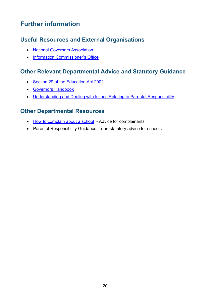# <span id="page-19-0"></span>**Further information**

# <span id="page-19-1"></span>**Useful Resources and External Organisations**

- [National Governors Association](http://www.nga.org.uk/Can-we-help/Useful_Contacts/GovernorLine.aspx)
- <span id="page-19-2"></span>• [Information Commissioner's Office](https://ico.org.uk/)

## **Other Relevant Departmental Advice and Statutory Guidance**

- [Section 29 of the Education Act 2002](http://www.legislation.gov.uk/ukpga/2002/32/contents)
- [Governors Handbook](https://www.gov.uk/government/publications/governors-handbook--2)
- <span id="page-19-3"></span>• Understanding and Dealing with Issues Relating to Parental Responsibility

## **Other Departmental Resources**

- [How to complain about a school](https://www.gov.uk/complain-about-school) Advice for complainants
- Parental Responsibility Guidance non-statutory advice for schools